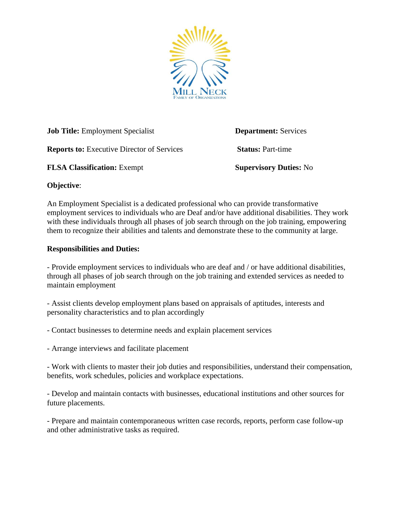

**Job Title:** Employment Specialist **Department:** Services **Reports to: Executive Director of Services <b>Status: Part-time FLSA Classification:** Exempt **Supervisory Duties:** No

## **Objective**:

An Employment Specialist is a dedicated professional who can provide transformative employment services to individuals who are Deaf and/or have additional disabilities. They work with these individuals through all phases of job search through on the job training, empowering them to recognize their abilities and talents and demonstrate these to the community at large.

## **Responsibilities and Duties:**

- Provide employment services to individuals who are deaf and / or have additional disabilities, through all phases of job search through on the job training and extended services as needed to maintain employment

- Assist clients develop employment plans based on appraisals of aptitudes, interests and personality characteristics and to plan accordingly

- Contact businesses to determine needs and explain placement services

- Arrange interviews and facilitate placement

- Work with clients to master their job duties and responsibilities, understand their compensation, benefits, work schedules, policies and workplace expectations.

- Develop and maintain contacts with businesses, educational institutions and other sources for future placements.

- Prepare and maintain contemporaneous written case records, reports, perform case follow-up and other administrative tasks as required.